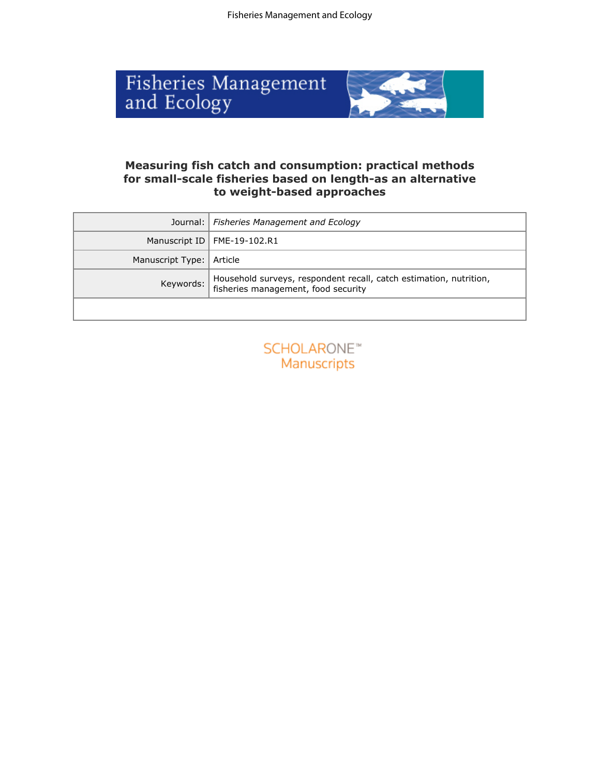

## **Measuring fish catch and consumption: practical methods for small-scale fisheries based on length-as an alternative to weight-based approaches**

| Journal:                          | Fisheries Management and Ecology                                                                          |
|-----------------------------------|-----------------------------------------------------------------------------------------------------------|
| Manuscript ID                     | FME-19-102.R1                                                                                             |
| Manuscript Type:                  | Article                                                                                                   |
| Keywords:                         | Household surveys, respondent recall, catch estimation, nutrition,<br>fisheries management, food security |
|                                   |                                                                                                           |
| <b>SCHOLARONE™</b><br>Manuscripts |                                                                                                           |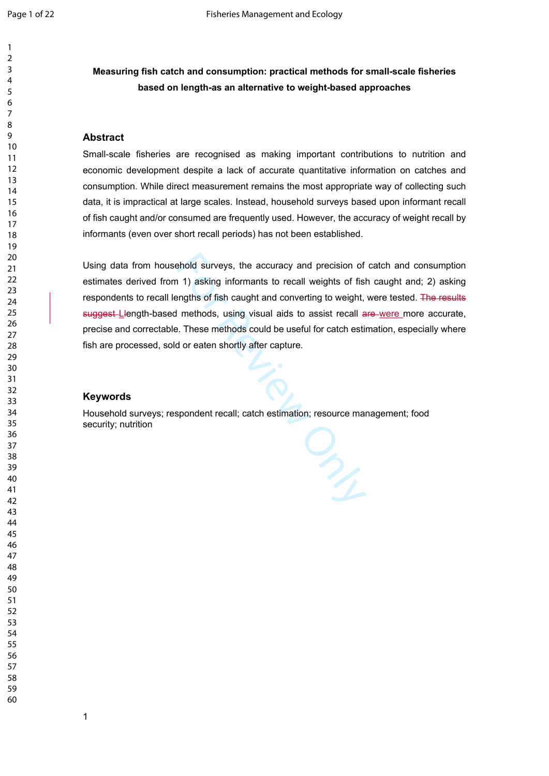$\mathbf{1}$  $\overline{2}$  $\overline{3}$  $\overline{4}$ 

# **Measuring fish catch and consumption: practical methods for small-scale fisheries based on length-as an alternative to weight-based approaches**

### **Abstract**

Small-scale fisheries are recognised as making important contributions to nutrition and economic development despite a lack of accurate quantitative information on catches and consumption. While direct measurement remains the most appropriate way of collecting such data, it is impractical at large scales. Instead, household surveys based upon informant recall of fish caught and/or consumed are frequently used. However, the accuracy of weight recall by informants (even over short recall periods) has not been established.

For Review of the accuracy and precision of<br>
For Allyheim informants to recall weights of fisl<br>
Ingths of fish caught and converting to weight,<br>
Interhods, using visual aids to assist recall a<br>
Forecall and the useful for Using data from household surveys, the accuracy and precision of catch and consumption estimates derived from 1) asking informants to recall weights of fish caught and; 2) asking respondents to recall lengths of fish caught and converting to weight, were tested. The results suggest Llength-based methods, using visual aids to assist recall are were more accurate, precise and correctable. These methods could be useful for catch estimation, especially where fish are processed, sold or eaten shortly after capture.

#### **Keywords**

Household surveys; respondent recall; catch estimation; resource management; food security; nutrition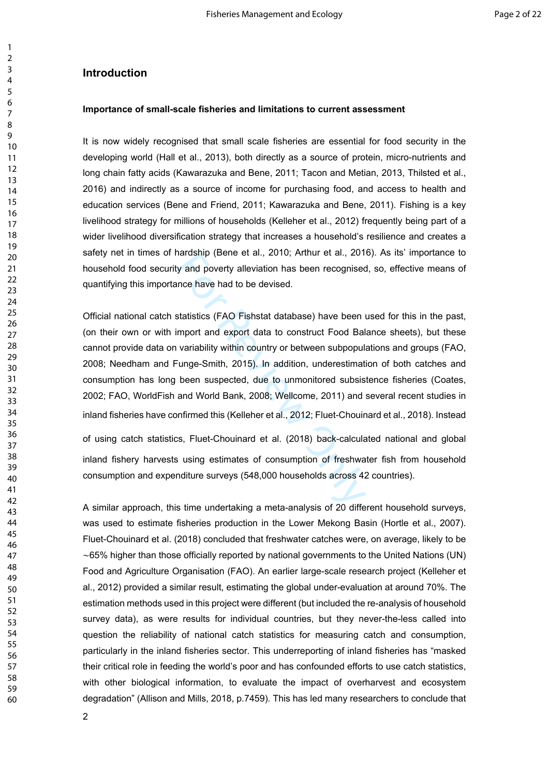### **Introduction**

### **Importance of small-scale fisheries and limitations to current assessment**

It is now widely recognised that small scale fisheries are essential for food security in the developing world (Hall et al., 2013), both directly as a source of protein, micro-nutrients and long chain fatty acids (Kawarazuka and Bene, 2011; Tacon and Metian, 2013, Thilsted et al., 2016) and indirectly as a source of income for purchasing food, and access to health and education services (Bene and Friend, 2011; Kawarazuka and Bene, 2011). Fishing is a key livelihood strategy for millions of households (Kelleher et al., 2012) frequently being part of a wider livelihood diversification strategy that increases a household's resilience and creates a safety net in times of hardship (Bene et al., 2010; Arthur et al., 2016). As its' importance to household food security and poverty alleviation has been recognised, so, effective means of quantifying this importance have had to be devised.

randship (beile et al., 2010, Arthur et al., 2017)<br>y and poverty alleviation has been recognised<br>mce have had to be devised.<br>statistics (FAO Fishstat database) have been r<br>mport and export data to construct Food Bal<br>variab Official national catch statistics (FAO Fishstat database) have been used for this in the past, (on their own or with import and export data to construct Food Balance sheets), but these cannot provide data on variability within country or between subpopulations and groups (FAO, 2008; Needham and Funge-Smith, 2015). In addition, underestimation of both catches and consumption has long been suspected, due to unmonitored subsistence fisheries (Coates, 2002; FAO, WorldFish and World Bank, 2008; Wellcome, 2011) and several recent studies in inland fisheries have confirmed this (Kelleher et al., 2012; Fluet-Chouinard et al., 2018). Instead of using catch statistics, Fluet-Chouinard et al. (2018) back-calculated national and global inland fishery harvests using estimates of consumption of freshwater fish from household consumption and expenditure surveys (548,000 households across 42 countries).

A similar approach, this time undertaking a meta-analysis of 20 different household surveys, was used to estimate fisheries production in the Lower Mekong Basin (Hortle et al., 2007). Fluet-Chouinard et al. (2018) concluded that freshwater catches were, on average, likely to be ∼65% higher than those officially reported by national governments to the United Nations (UN) Food and Agriculture Organisation (FAO). An earlier large-scale research project (Kelleher et al., 2012) provided a similar result, estimating the global under-evaluation at around 70%. The estimation methods used in this project were different (but included the re-analysis of household survey data), as were results for individual countries, but they never-the-less called into question the reliability of national catch statistics for measuring catch and consumption, particularly in the inland fisheries sector. This underreporting of inland fisheries has "masked their critical role in feeding the world's poor and has confounded efforts to use catch statistics, with other biological information, to evaluate the impact of overharvest and ecosystem degradation" (Allison and Mills, 2018, p.7459). This has led many researchers to conclude that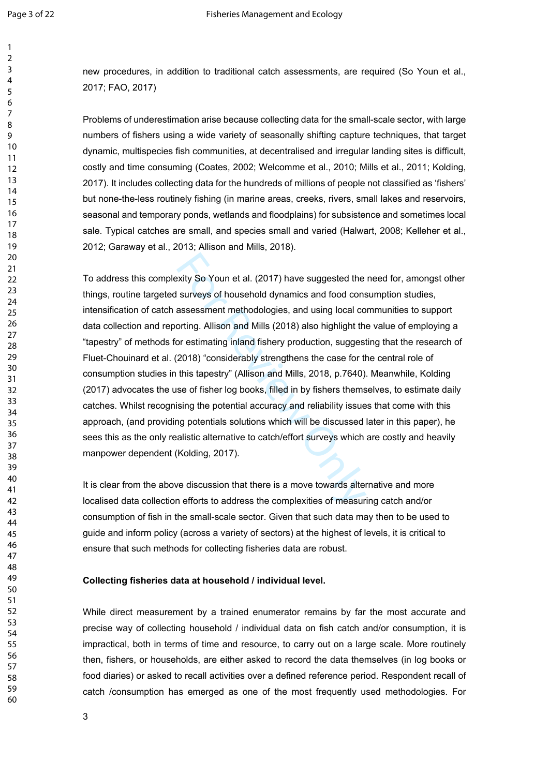$\mathbf{1}$  $\overline{2}$  $\overline{3}$ 

new procedures, in addition to traditional catch assessments, are required (So Youn et al., 2017; FAO, 2017)

Problems of underestimation arise because collecting data for the small-scale sector, with large numbers of fishers using a wide variety of seasonally shifting capture techniques, that target dynamic, multispecies fish communities, at decentralised and irregular landing sites is difficult, costly and time consuming (Coates, 2002; Welcomme et al., 2010; Mills et al., 2011; Kolding, 2017). It includes collecting data for the hundreds of millions of people not classified as 'fishers' but none-the-less routinely fishing (in marine areas, creeks, rivers, small lakes and reservoirs, seasonal and temporary ponds, wetlands and floodplains) for subsistence and sometimes local sale. Typical catches are small, and species small and varied (Halwart, 2008; Kelleher et al., 2012; Garaway et al., 2013; Allison and Mills, 2018).

exity So Youn et al. (2017) have suggested the<br>surveys of household dynamics and food cons<br>assessment methodologies, and using local co<br>orting. Allison and Mills (2018) also highlight th<br>or estimating inland fishery produc To address this complexity So Youn et al. (2017) have suggested the need for, amongst other things, routine targeted surveys of household dynamics and food consumption studies, intensification of catch assessment methodologies, and using local communities to support data collection and reporting. Allison and Mills (2018) also highlight the value of employing a "tapestry" of methods for estimating inland fishery production, suggesting that the research of Fluet-Chouinard et al. (2018) "considerably strengthens the case for the central role of consumption studies in this tapestry" (Allison and Mills, 2018, p.7640). Meanwhile, Kolding (2017) advocates the use of fisher log books, filled in by fishers themselves, to estimate daily catches. Whilst recognising the potential accuracy and reliability issues that come with this approach, (and providing potentials solutions which will be discussed later in this paper), he sees this as the only realistic alternative to catch/effort surveys which are costly and heavily manpower dependent (Kolding, 2017).

It is clear from the above discussion that there is a move towards alternative and more localised data collection efforts to address the complexities of measuring catch and/or consumption of fish in the small-scale sector. Given that such data may then to be used to guide and inform policy (across a variety of sectors) at the highest of levels, it is critical to ensure that such methods for collecting fisheries data are robust.

### **Collecting fisheries data at household / individual level.**

While direct measurement by a trained enumerator remains by far the most accurate and precise way of collecting household / individual data on fish catch and/or consumption, it is impractical, both in terms of time and resource, to carry out on a large scale. More routinely then, fishers, or households, are either asked to record the data themselves (in log books or food diaries) or asked to recall activities over a defined reference period. Respondent recall of catch /consumption has emerged as one of the most frequently used methodologies. For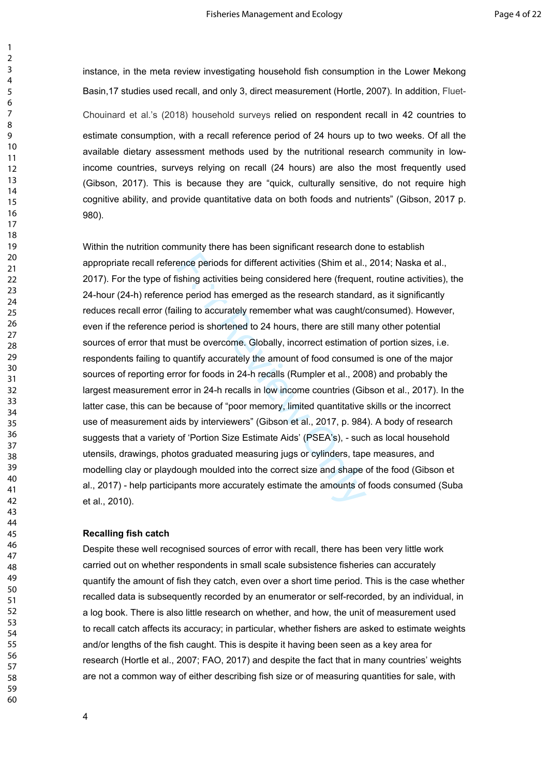instance, in the meta review investigating household fish consumption in the Lower Mekong Basin,17 studies used recall, and only 3, direct measurement (Hortle, 2007)*.* In addition, Fluet-Chouinard et al.'s (2018) household surveys relied on respondent recall in 42 countries to estimate consumption, with a recall reference period of 24 hours up to two weeks. Of all the available dietary assessment methods used by the nutritional research community in lowincome countries, surveys relying on recall (24 hours) are also the most frequently used (Gibson, 2017). This is because they are "quick, culturally sensitive, do not require high cognitive ability, and provide quantitative data on both foods and nutrients" (Gibson, 2017 p. 980).

ence periods for different activities (Shim et al.,<br>ishing activities being considered here (frequer<br>ree period has emerged as the research standar<br>ling to accurately remember what was caught/<br>eriod is shortened to 24 hour Within the nutrition community there has been significant research done to establish appropriate recall reference periods for different activities (Shim et al., 2014; Naska et al., 2017). For the type of fishing activities being considered here (frequent, routine activities), the 24-hour (24-h) reference period has emerged as the research standard, as it significantly reduces recall error (failing to accurately remember what was caught/consumed). However, even if the reference period is shortened to 24 hours, there are still many other potential sources of error that must be overcome. Globally, incorrect estimation of portion sizes, i.e. respondents failing to quantify accurately the amount of food consumed is one of the major sources of reporting error for foods in 24-h recalls (Rumpler et al., 2008) and probably the largest measurement error in 24-h recalls in low income countries (Gibson et al., 2017). In the latter case, this can be because of "poor memory, limited quantitative skills or the incorrect use of measurement aids by interviewers" (Gibson et al., 2017, p. 984). A body of research suggests that a variety of 'Portion Size Estimate Aids' (PSEA's), - such as local household utensils, drawings, photos graduated measuring jugs or cylinders, tape measures, and modelling clay or playdough moulded into the correct size and shape of the food (Gibson et al., 2017) - help participants more accurately estimate the amounts of foods consumed (Suba et al., 2010).

#### **Recalling fish catch**

Despite these well recognised sources of error with recall, there has been very little work carried out on whether respondents in small scale subsistence fisheries can accurately quantify the amount of fish they catch, even over a short time period. This is the case whether recalled data is subsequently recorded by an enumerator or self-recorded, by an individual, in a log book. There is also little research on whether, and how, the unit of measurement used to recall catch affects its accuracy; in particular, whether fishers are asked to estimate weights and/or lengths of the fish caught. This is despite it having been seen as a key area for research (Hortle et al., 2007; FAO, 2017) and despite the fact that in many countries' weights are not a common way of either describing fish size or of measuring quantities for sale, with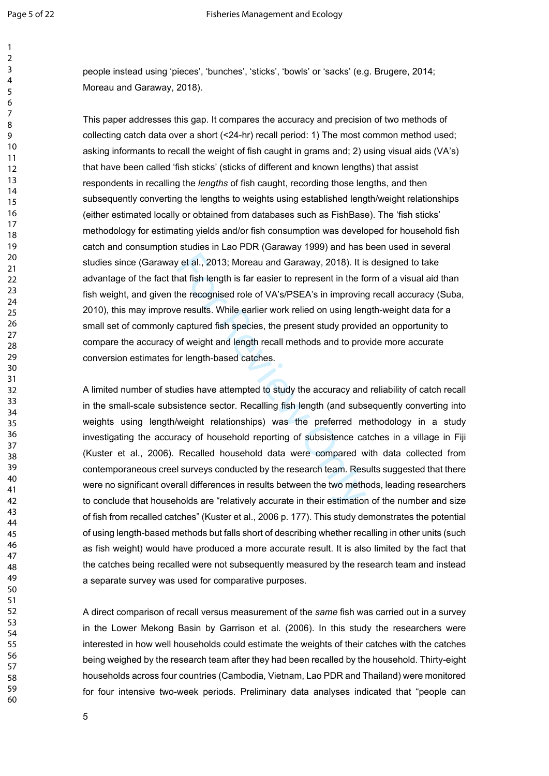$\mathbf{1}$  $\overline{2}$  $\overline{3}$  $\overline{4}$ 5 6  $\overline{7}$ 8 9

people instead using 'pieces', 'bunches', 'sticks', 'bowls' or 'sacks' (e.g. Brugere, 2014; Moreau and Garaway, 2018).

This paper addresses this gap. It compares the accuracy and precision of two methods of collecting catch data over a short (<24-hr) recall period: 1) The most common method used; asking informants to recall the weight of fish caught in grams and; 2) using visual aids (VA's) that have been called 'fish sticks' (sticks of different and known lengths) that assist respondents in recalling the *lengths* of fish caught, recording those lengths, and then subsequently converting the lengths to weights using established length/weight relationships (either estimated locally or obtained from databases such as FishBase). The 'fish sticks' methodology for estimating yields and/or fish consumption was developed for household fish catch and consumption studies in Lao PDR (Garaway 1999) and has been used in several studies since (Garaway et al., 2013; Moreau and Garaway, 2018). It is designed to take advantage of the fact that fish length is far easier to represent in the form of a visual aid than fish weight, and given the recognised role of VA's/PSEA's in improving recall accuracy (Suba, 2010), this may improve results. While earlier work relied on using length-weight data for a small set of commonly captured fish species, the present study provided an opportunity to compare the accuracy of weight and length recall methods and to provide more accurate conversion estimates for length-based catches.

r et al., 2013; Moreau and Garaway, 2018). It is<br>nat fish length is far easier to represent in the fore<br>necognised role of VA's/PSEA's in improving<br>e results. While earlier work relied on using len<br>captured fish species, t A limited number of studies have attempted to study the accuracy and reliability of catch recall in the small-scale subsistence sector. Recalling fish length (and subsequently converting into weights using length/weight relationships) was the preferred methodology in a study investigating the accuracy of household reporting of subsistence catches in a village in Fiji (Kuster et al., 2006). Recalled household data were compared with data collected from contemporaneous creel surveys conducted by the research team. Results suggested that there were no significant overall differences in results between the two methods, leading researchers to conclude that households are "relatively accurate in their estimation of the number and size of fish from recalled catches" (Kuster et al., 2006 p. 177). This study demonstrates the potential of using length-based methods but falls short of describing whether recalling in other units (such as fish weight) would have produced a more accurate result. It is also limited by the fact that the catches being recalled were not subsequently measured by the research team and instead a separate survey was used for comparative purposes.

A direct comparison of recall versus measurement of the *same* fish was carried out in a survey in the Lower Mekong Basin by Garrison et al. (2006). In this study the researchers were interested in how well households could estimate the weights of their catches with the catches being weighed by the research team after they had been recalled by the household. Thirty-eight households across four countries (Cambodia, Vietnam, Lao PDR and Thailand) were monitored for four intensive two-week periods. Preliminary data analyses indicated that "people can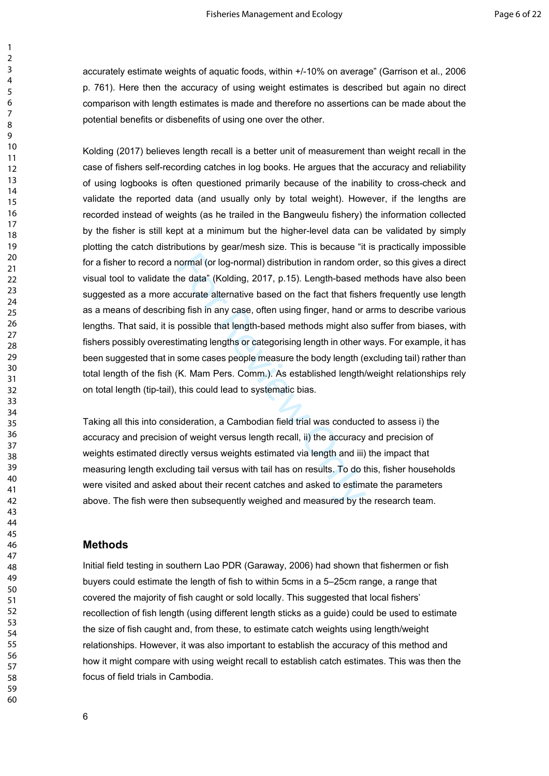accurately estimate weights of aquatic foods, within +/-10% on average" (Garrison et al., 2006 p. 761). Here then the accuracy of using weight estimates is described but again no direct comparison with length estimates is made and therefore no assertions can be made about the potential benefits or disbenefits of using one over the other.

normal (or log-normal) distribution in random or<br>the data" (Kolding, 2017, p.15). Length-based r<br>accurate alternative based on the fact that fishe<br>requires the fact that fishering finger, hand or<br>possible that length-based Kolding (2017) believes length recall is a better unit of measurement than weight recall in the case of fishers self-recording catches in log books. He argues that the accuracy and reliability of using logbooks is often questioned primarily because of the inability to cross-check and validate the reported data (and usually only by total weight). However, if the lengths are recorded instead of weights (as he trailed in the Bangweulu fishery) the information collected by the fisher is still kept at a minimum but the higher-level data can be validated by simply plotting the catch distributions by gear/mesh size. This is because "it is practically impossible for a fisher to record a normal (or log-normal) distribution in random order, so this gives a direct visual tool to validate the data" (Kolding, 2017, p.15). Length-based methods have also been suggested as a more accurate alternative based on the fact that fishers frequently use length as a means of describing fish in any case, often using finger, hand or arms to describe various lengths. That said, it is possible that length-based methods might also suffer from biases, with fishers possibly overestimating lengths or categorising length in other ways. For example, it has been suggested that in some cases people measure the body length (excluding tail) rather than total length of the fish (K. Mam Pers. Comm.). As established length/weight relationships rely on total length (tip-tail), this could lead to systematic bias.

Taking all this into consideration, a Cambodian field trial was conducted to assess i) the accuracy and precision of weight versus length recall, ii) the accuracy and precision of weights estimated directly versus weights estimated via length and iii) the impact that measuring length excluding tail versus with tail has on results. To do this, fisher households were visited and asked about their recent catches and asked to estimate the parameters above. The fish were then subsequently weighed and measured by the research team.

### **Methods**

Initial field testing in southern Lao PDR (Garaway, 2006) had shown that fishermen or fish buyers could estimate the length of fish to within 5cms in a 5–25cm range, a range that covered the majority of fish caught or sold locally. This suggested that local fishers' recollection of fish length (using different length sticks as a guide) could be used to estimate the size of fish caught and, from these, to estimate catch weights using length/weight relationships. However, it was also important to establish the accuracy of this method and how it might compare with using weight recall to establish catch estimates. This was then the focus of field trials in Cambodia.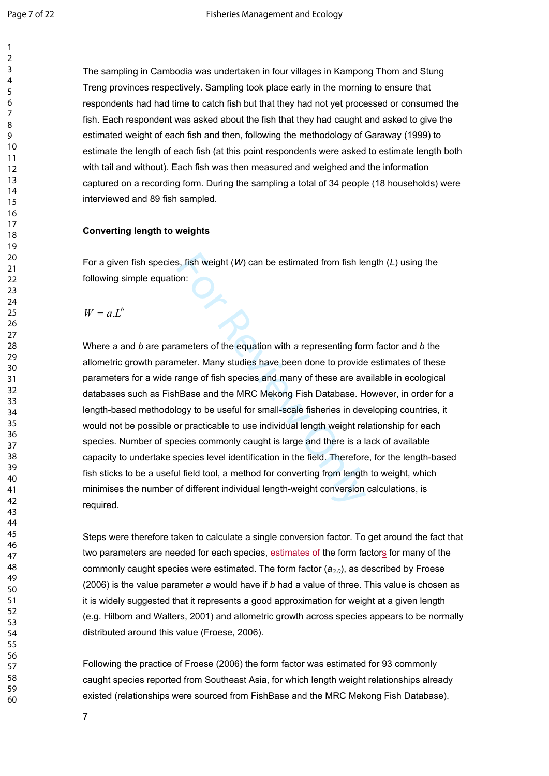$\mathbf{1}$  $\overline{2}$  $\overline{3}$  $\overline{4}$ 5 6  $\overline{7}$ 8  $\mathsf{Q}$ 

The sampling in Cambodia was undertaken in four villages in Kampong Thom and Stung Treng provinces respectively. Sampling took place early in the morning to ensure that respondents had had time to catch fish but that they had not yet processed or consumed the fish. Each respondent was asked about the fish that they had caught and asked to give the estimated weight of each fish and then, following the methodology of Garaway (1999) to estimate the length of each fish (at this point respondents were asked to estimate length both with tail and without). Each fish was then measured and weighed and the information captured on a recording form. During the sampling a total of 34 people (18 households) were interviewed and 89 fish sampled.

#### **Converting length to weights**

For a given fish species, fish weight (W) can be estimated from fish length (L) using the following simple equation:

 $W = a L^b$ 

S, fish weight (*W*) can be estimated from fish le<br>on:<br>ameters of the equation with a representing for<br>meter. Many studies have been done to provide<br>ange of fish species and many of these are av-<br>nBase and the MRC Mekong F Where *a* and *b* are parameters of the equation with *a* representing form factor and *b* the allometric growth parameter. Many studies have been done to provide estimates of these parameters for a wide range of fish species and many of these are available in ecological databases such as FishBase and the MRC Mekong Fish Database. However, in order for a length-based methodology to be useful for small-scale fisheries in developing countries, it would not be possible or practicable to use individual length weight relationship for each species. Number of species commonly caught is large and there is a lack of available capacity to undertake species level identification in the field. Therefore, for the length-based fish sticks to be a useful field tool, a method for converting from length to weight, which minimises the number of different individual length-weight conversion calculations, is required.

Steps were therefore taken to calculate a single conversion factor. To get around the fact that two parameters are needed for each species, estimates of the form factors for many of the commonly caught species were estimated. The form factor ( *a3.0*), as described by Froese (2006) is the value parameter a would have if b had a value of three. This value is chosen as it is widely suggested that it represents a good approximation for weight at a given length (e.g. Hilborn and Walters, 2001) and allometric growth across species appears to be normally distributed around this value (Froese, 2006).

Following the practice of Froese (2006) the form factor was estimated for 93 commonly caught species reported from Southeast Asia, for which length weight relationships already existed (relationships were sourced from FishBase and the MRC Mekong Fish Database).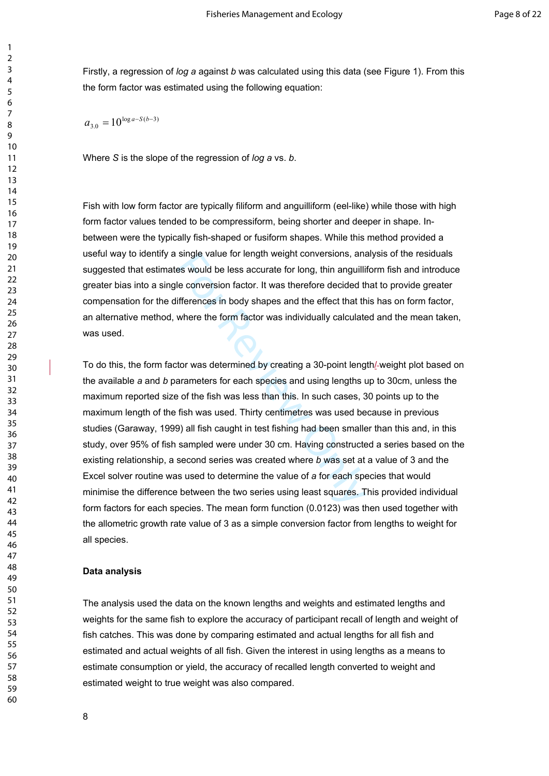Firstly, a regression of *log a* against *b* was calculated using this data (see Figure 1). From this the form factor was estimated using the following equation:

 $a_{3,0} = 10^{\log a - S(b-3)}$ 

Where *S* is the slope of the regression of *log a* vs. *b*.

Fish with low form factor are typically filiform and anguilliform (eel-like) while those with high form factor values tended to be compressiform, being shorter and deeper in shape. Inbetween were the typically fish-shaped or fusiform shapes. While this method provided a useful way to identify a single value for length weight conversions, analysis of the residuals suggested that estimates would be less accurate for long, thin anguilliform fish and introduce greater bias into a single conversion factor. It was therefore decided that to provide greater compensation for the differences in body shapes and the effect that this has on form factor, an alternative method, where the form factor was individually calculated and the mean taken, was used.

single value for length weight conversions, ana<br>es would be less accurate for long, thin anguilli<br>le conversion factor. It was therefore decided the<br>differences in body shapes and the effect that the<br>where the form factor To do this, the form factor was determined by creating a 30-point length/ weight plot based on the available *a* and *b* parameters for each species and using lengths up to 30cm, unless the maximum reported size of the fish was less than this. In such cases, 30 points up to the maximum length of the fish was used. Thirty centimetres was used because in previous studies (Garaway, 1999) all fish caught in test fishing had been smaller than this and, in this study, over 95% of fish sampled were under 30 cm. Having constructed a series based on the existing relationship, a second series was created where *b* was set at a value of 3 and the Excel solver routine was used to determine the value of *a* for each species that would minimise the difference between the two series using least squares. This provided individual form factors for each species. The mean form function (0.0123) was then used together with the allometric growth rate value of 3 as a simple conversion factor from lengths to weight for all species.

#### **Data analysis**

The analysis used the data on the known lengths and weights and estimated lengths and weights for the same fish to explore the accuracy of participant recall of length and weight of fish catches. This was done by comparing estimated and actual lengths for all fish and estimated and actual weights of all fish. Given the interest in using lengths as a means to estimate consumption or yield, the accuracy of recalled length converted to weight and estimated weight to true weight was also compared.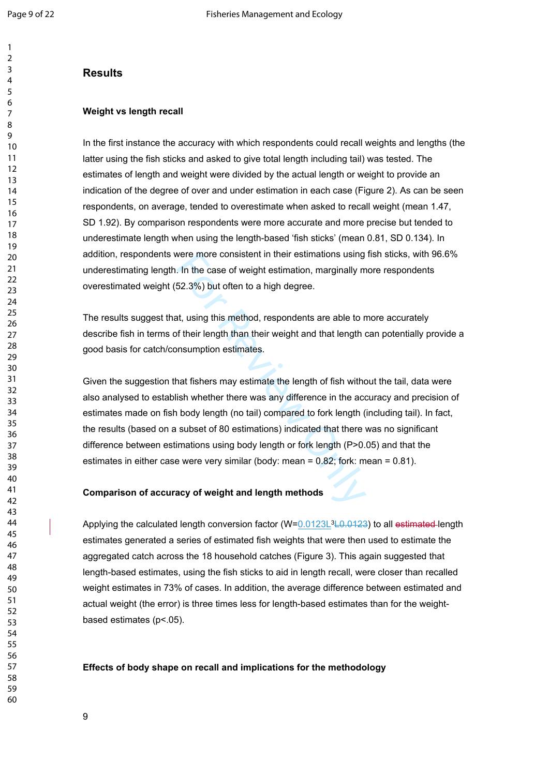$\mathbf{1}$  $\overline{2}$  $\overline{3}$  $\overline{4}$ 5 6  $\overline{7}$ 8  $\mathsf{Q}$ 

### **Results**

#### **Weight vs length recall**

In the first instance the accuracy with which respondents could recall weights and lengths (the latter using the fish sticks and asked to give total length including tail) was tested. The estimates of length and weight were divided by the actual length or weight to provide an indication of the degree of over and under estimation in each case (Figure 2). As can be seen respondents, on average, tended to overestimate when asked to recall weight (mean 1.47, SD 1.92). By comparison respondents were more accurate and more precise but tended to underestimate length when using the length-based 'fish sticks' (mean 0.81, SD 0.134). In addition, respondents were more consistent in their estimations using fish sticks, with 96.6% underestimating length. In the case of weight estimation, marginally more respondents overestimated weight (52.3%) but often to a high degree.

The results suggest that, using this method, respondents are able to more accurately describe fish in terms of their length than their weight and that length can potentially provide a good basis for catch/consumption estimates.

were more consistent in their estimations using<br>
In the case of weight estimation, marginally m<br>
52.3%) but often to a high degree.<br>
At, using this method, respondents are able to r<br>
of their length than their weight and t Given the suggestion that fishers may estimate the length of fish without the tail, data were also analysed to establish whether there was any difference in the accuracy and precision of estimates made on fish body length (no tail) compared to fork length (including tail). In fact, the results (based on a subset of 80 estimations) indicated that there was no significant difference between estimations using body length or fork length (P>0.05) and that the estimates in either case were very similar (body: mean = 0.82; fork: mean = 0.81).

### **Comparison of accuracy of weight and length methods**

Applying the calculated length conversion factor (W=<u>0.0123L<sup>3</sup>L0.0123</u>) to all estimated-length estimates generated a series of estimated fish weights that were then used to estimate the aggregated catch across the 18 household catches (Figure 3). This again suggested that length-based estimates, using the fish sticks to aid in length recall, were closer than recalled weight estimates in 73% of cases. In addition, the average difference between estimated and actual weight (the error) is three times less for length-based estimates than for the weightbased estimates (p<.05).

**Effects of body shape on recall and implications for the methodology**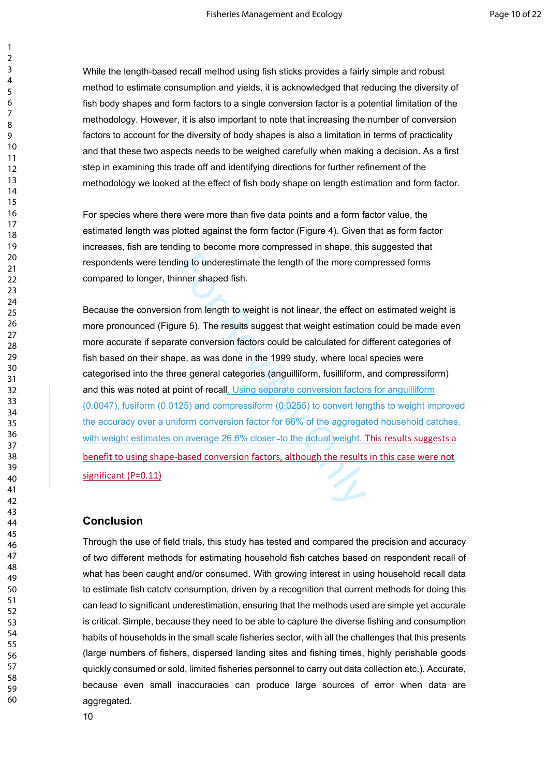While the length-based recall method using fish sticks provides a fairly simple and robust method to estimate consumption and yields, it is acknowledged that reducing the diversity of fish body shapes and form factors to a single conversion factor is a potential limitation of the methodology. However, it is also important to note that increasing the number of conversion factors to account for the diversity of body shapes is also a limitation in terms of practicality and that these two aspects needs to be weighed carefully when making a decision. As a first step in examining this trade off and identifying directions for further refinement of the methodology we looked at the effect of fish body shape on length estimation and form factor.

For species where there were more than five data points and a form factor value, the estimated length was plotted against the form factor (Figure 4). Given that as form factor increases, fish are tending to become more compressed in shape, this suggested that respondents were tending to underestimate the length of the more compressed forms compared to longer, thinner shaped fish.

ing to underestimate the length of the more compared fish.<br>
In from length to weight is not linear, the effect or<br>
In from length to weight is not linear, the effect or<br>
Internative Conversion factors could be calculated f Because the conversion from length to weight is not linear, the effect on estimated weight is more pronounced (Figure 5). The results suggest that weight estimation could be made even more accurate if separate conversion factors could be calculated for different categories of fish based on their shape, as was done in the 1999 study, where local species were categorised into the three general categories (anguilliform, fusilliform, and compressiform) and this was noted at point of recall. Using separate conversion factors for anguilliform (0.0047), fusiform (0.0125) and compressiform (0.0255) to convert lengths to weight improved the accuracy over a uniform conversion factor for 66% of the aggregated household catches, with weight estimates on average 26.6% closer -to the actual weight. This results suggests a benefit to using shape-based conversion factors, although the results in this case were not significant (P=0.11)

### **Conclusion**

Through the use of field trials, this study has tested and compared the precision and accuracy of two different methods for estimating household fish catches based on respondent recall of what has been caught and/or consumed. With growing interest in using household recall data to estimate fish catch/ consumption, driven by a recognition that current methods for doing this can lead to significant underestimation, ensuring that the methods used are simple yet accurate is critical. Simple, because they need to be able to capture the diverse fishing and consumption habits of households in the small scale fisheries sector, with all the challenges that this presents (large numbers of fishers, dispersed landing sites and fishing times, highly perishable goods quickly consumed or sold, limited fisheries personnel to carry out data collection etc.). Accurate, because even small inaccuracies can produce large sources of error when data are aggregated.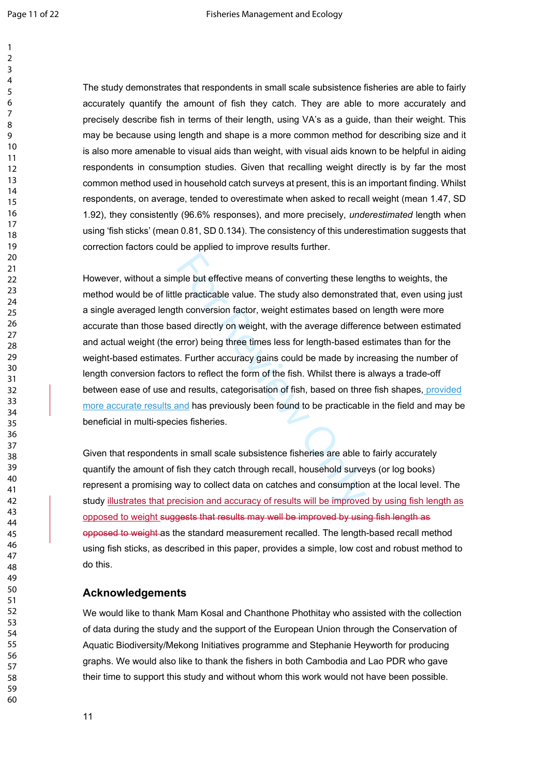The study demonstrates that respondents in small scale subsistence fisheries are able to fairly accurately quantify the amount of fish they catch. They are able to more accurately and precisely describe fish in terms of their length, using VA's as a guide, than their weight. This may be because using length and shape is a more common method for describing size and it is also more amenable to visual aids than weight, with visual aids known to be helpful in aiding respondents in consumption studies. Given that recalling weight directly is by far the most common method used in household catch surveys at present, this is an important finding. Whilst respondents, on average, tended to overestimate when asked to recall weight (mean 1.47, SD 1.92), they consistently (96.6% responses), and more precisely, *underestimated* length when using 'fish sticks' (mean 0.81, SD 0.134). The consistency of this underestimation suggests that correction factors could be applied to improve results further.

ple but effective means of converting these lere<br>
e practicable value. The study also demonstrat<br>
th conversion factor, weight estimates based of<br>
sed directly on weight, with the average differe<br>
error) being three times However, without a simple but effective means of converting these lengths to weights, the method would be of little practicable value. The study also demonstrated that, even using just a single averaged length conversion factor, weight estimates based on length were more accurate than those based directly on weight, with the average difference between estimated and actual weight (the error) being three times less for length-based estimates than for the weight-based estimates. Further accuracy gains could be made by increasing the number of length conversion factors to reflect the form of the fish. Whilst there is always a trade-off between ease of use and results, categorisation of fish, based on three fish shapes, provided more accurate results and has previously been found to be practicable in the field and may be beneficial in multi-species fisheries.

Given that respondents in small scale subsistence fisheries are able to fairly accurately quantify the amount of fish they catch through recall, household surveys (or log books) represent a promising way to collect data on catches and consumption at the local level. The study illustrates that precision and accuracy of results will be improved by using fish length as opposed to weight suggests that results may well be improved by using fish length as opposed to weight as the standard measurement recalled. The length-based recall method using fish sticks, as described in this paper, provides a simple, low cost and robust method to do this.

### **Acknowledgements**

We would like to thank Mam Kosal and Chanthone Phothitay who assisted with the collection of data during the study and the support of the European Union through the Conservation of Aquatic Biodiversity/Mekong Initiatives programme and Stephanie Heyworth for producing graphs. We would also like to thank the fishers in both Cambodia and Lao PDR who gave their time to support this study and without whom this work would not have been possible.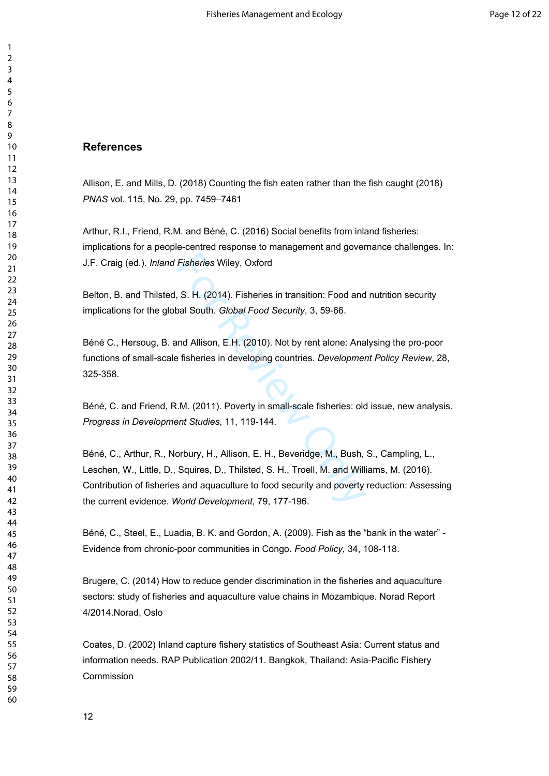### **References**

Allison, E. and Mills, D. (2018) Counting the fish eaten rather than the fish caught (2018) *PNAS* vol. 115, No. 29, pp. 7459–7461

Arthur, R.I., Friend, R.M. and Béné, C. (2016) Social benefits from inland fisheries: implications for a people-centred response to management and governance challenges. In: J.F. Craig (ed.). *Inland Fisheries* Wiley, Oxford

Belton, B. and Thilsted, S. H. (2014). Fisheries in transition: Food and nutrition security implications for the global South. *Global Food Security*, 3, 59-66.

Béné C., Hersoug, B. and Allison, E.H. (2010). Not by rent alone: Analysing the pro-poor functions of small-scale fisheries in developing countries. *Development Policy Review*, 28, 325-358.

Béné, C. and Friend, R.M. (2011). Poverty in small-scale fisheries: old issue, new analysis. *Progress in Development Studies*, 11, 119-144.

Fisheries Wiley, Oxford<br>
5. H. (2014). Fisheries in transition: Food and<br>
bal South. Global Food Security, 3, 59-66.<br>
and Allison, E.H. (2010). Not by rent alone: Ana<br>
fisheries in developing countries. Development<br>
Fisher Béné, C., Arthur, R., Norbury, H., Allison, E. H., Beveridge, M., Bush, S., Campling, L., Leschen, W., Little, D., Squires, D., Thilsted, S. H., Troell, M. and Williams, M. (2016). Contribution of fisheries and aquaculture to food security and poverty reduction: Assessing the current evidence. *World Development*, 79, 177-196.

Béné, C., Steel, E., Luadia, B. K. and Gordon, A. (2009). Fish as the "bank in the water" - Evidence from chronic-poor communities in Congo. *Food Policy,* 34, 108-118.

Brugere, C. (2014) How to reduce gender discrimination in the fisheries and aquaculture sectors: study of fisheries and aquaculture value chains in Mozambique. Norad Report 4/2014.Norad, Oslo

Coates, D. (2002) Inland capture fishery statistics of Southeast Asia: Current status and information needs. RAP Publication 2002/11. Bangkok, Thailand: Asia-Pacific Fishery Commission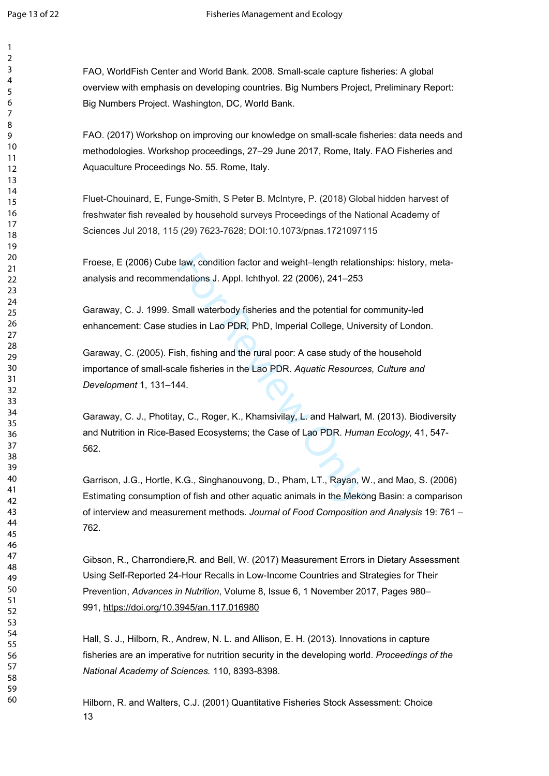FAO, WorldFish Center and World Bank. 2008. Small-scale capture fisheries: A global overview with emphasis on developing countries. Big Numbers Project, Preliminary Report: Big Numbers Project. Washington, DC, World Bank.

FAO. (2017) Workshop on improving our knowledge on small-scale fisheries: data needs and methodologies. Workshop proceedings, 27–29 June 2017, Rome, Italy. FAO Fisheries and Aquaculture Proceedings No. 55. Rome, Italy.

Fluet-Chouinard, E, Funge-Smith, S Peter B. McIntyre, P. (2018) Global hidden harvest of freshwater fish revealed by household surveys Proceedings of the National Academy of Sciences Jul 2018, 115 (29) 7623-7628; DOI:10.1073/pnas.1721097115

Froese, E (2006) Cube law, condition factor and weight–length relationships: history, metaanalysis and recommendations J. Appl. Ichthyol. 22 (2006), 241–253

Garaway, C. J. 1999. Small waterbody fisheries and the potential for community-led enhancement: Case studies in Lao PDR *,* PhD, Imperial College, University of London.

law, condition factor and weight-length relation<br>
dations J. Appl. lchthyol. 22 (2006), 241–253<br>
Small waterbody fisheries and the potential for c<br>
udies in Lao PDR, PhD, Imperial College, University<br>
Sh, fishing and the r Garaway, C. (2005). Fish, fishing and the rural poor: A case study of the household importance of small-scale fisheries in the Lao PDR. *Aquatic Resources, Culture and Development* 1, 131–144.

Garaway, C. J., Photitay, C., Roger, K., Khamsivilay, L. and Halwart, M. (2013). Biodiversity and Nutrition in Rice-Based Ecosystems; the Case of Lao PDR. *Human Ecology,* 41, 547- 562.

Garrison, J.G., Hortle, K.G., Singhanouvong, D., Pham, LT., Rayan, W., and Mao, S. (2006) Estimating consumption of fish and other aquatic animals in the Mekong Basin: a comparison of interview and measurement methods. *Journal of Food Composition and Analysis* 19: 761 – 762.

Gibson, R., Charrondiere,R. and Bell, W. (2017) Measurement Errors in Dietary Assessment Using Self-Reported 24-Hour Recalls in Low-Income Countries and Strategies for Their Prevention, *Advances in Nutrition*, Volume 8, Issue 6, 1 November 2017, Pages 980– 991,<https://doi.org/10.3945/an.117.016980>

Hall, S. J., Hilborn, R., Andrew, N. L. and Allison, E. H. (2013). Innovations in capture fisheries are an imperative for nutrition security in the developing world. *Proceedings of the National Academy of Sciences.* 110, 8393-8398.

13 Hilborn, R. and Walters, C.J. (2001) Quantitative Fisheries Stock Assessment: Choice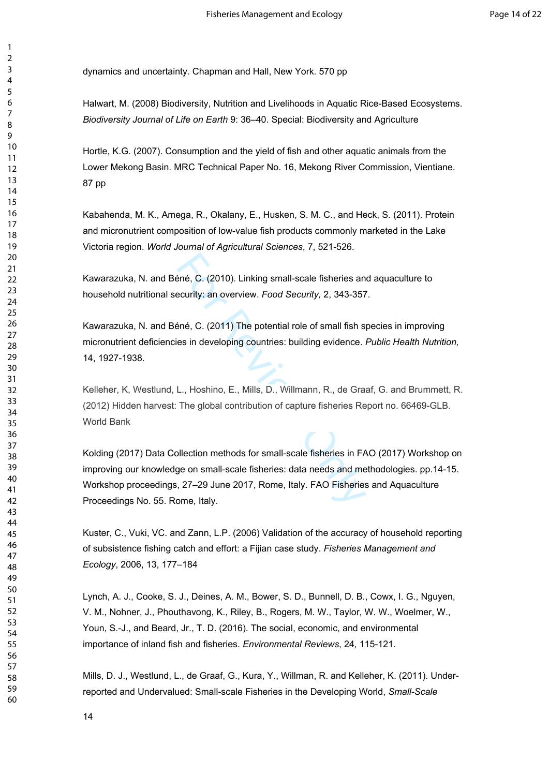dynamics and uncertainty. Chapman and Hall, New York. 570 pp

Halwart, M. (2008) Biodiversity, Nutrition and Livelihoods in Aquatic Rice-Based Ecosystems. *Biodiversity Journal of Life on Earth* 9: 36–40. Special: Biodiversity and Agriculture

Hortle, K.G. (2007). Consumption and the yield of fish and other aquatic animals from the Lower Mekong Basin. MRC Technical Paper No. 16, Mekong River Commission, Vientiane. 87 pp

Kabahenda, M. K., Amega, R., Okalany, E., Husken, S. M. C., and Heck, S. (2011). Protein and micronutrient composition of low-value fish products commonly marketed in the Lake Victoria region. *World Journal of Agricultural Sciences*, 7, 521-526.

Kawarazuka, N. and Béné, C. (2010). Linking small-scale fisheries and aquaculture to household nutritional security: an overview. *Food Security,* 2, 343-357.

Kawarazuka, N. and Béné, C. (2011) The potential role of small fish species in improving micronutrient deficiencies in developing countries: building evidence. *Public Health Nutrition,* 14, 1927-1938.

Kelleher, K, Westlund, L., Hoshino, E., Mills, D., Willmann, R., de Graaf, G. and Brummett, R. (2012) Hidden harvest: The global contribution of capture fisheries Report no. 66469-GLB. World Bank

Same, C. (2010). Linking small-scale fisheries an<br>
security: an overview. *Food Security*, 2, 343-357<br>
Same, C. (2011) The potential role of small fish s<br>
es in developing countries: building evidence.<br>
L., Hoshino, E., Mi Kolding (2017) Data Collection methods for small-scale fisheries in FAO (2017) Workshop on improving our knowledge on small-scale fisheries: data needs and methodologies. pp.14-15. Workshop proceedings, 27–29 June 2017, Rome, Italy. FAO Fisheries and Aquaculture Proceedings No. 55. Rome, Italy.

Kuster, C., Vuki, VC. and Zann, L.P. (2006) Validation of the accuracy of household reporting of subsistence fishing catch and effort: a Fijian case study. *Fisheries Management and Ecology*, 2006, 13, 177–184

Lynch, A. J., Cooke, S. J., Deines, A. M., Bower, S. D., Bunnell, D. B., Cowx, I. G., Nguyen, V. M., Nohner, J., Phouthavong, K., Riley, B., Rogers, M. W., Taylor, W. W., Woelmer, W., Youn, S.-J., and Beard, Jr., T. D. (2016). The social, economic, and environmental importance of inland fish and fisheries. *Environmental Reviews*, 24, 115-121.

Mills, D. J., Westlund, L., de Graaf, G., Kura, Y., Willman, R. and Kelleher, K. (2011). Underreported and Undervalued: Small-scale Fisheries in the Developing World, *Small-Scale*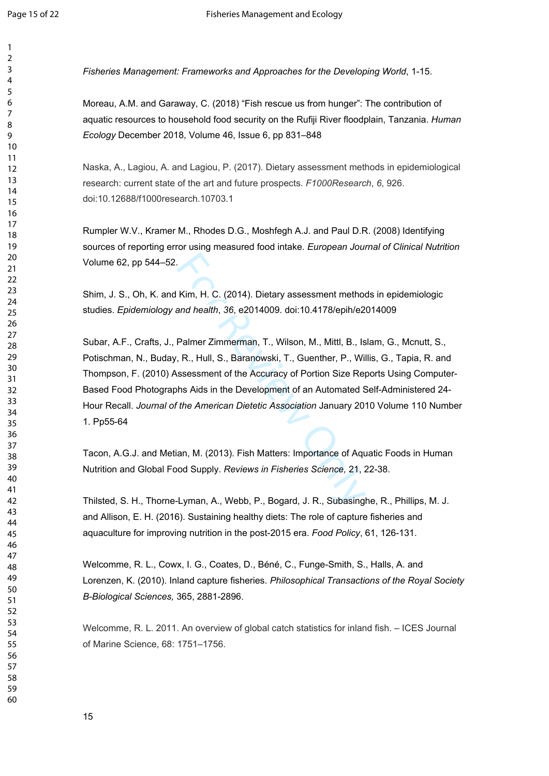$\mathbf{1}$  $\overline{2}$  $\overline{3}$  $\overline{4}$  $\overline{7}$ 

*Fisheries Management: Frameworks and Approaches for the Developing World*, 1-15.

Moreau, A.M. and Garaway, C. (2018) "Fish rescue us from hunger": The contribution of aquatic resources to household food security on the Rufiji River floodplain, Tanzania. *Human Ecology* December 2018, Volume 46, Issue 6, pp 831–848

Naska, A., Lagiou, A. and Lagiou, P. (2017). Dietary assessment methods in epidemiological research: current state of the art and future prospects. *F1000Research*, *6*, 926. doi:10.12688/f1000research.10703.1

Rumpler W.V., Kramer M., Rhodes D.G., Moshfegh A.J. and Paul D.R. (2008) Identifying sources of reporting error using measured food intake. *European Journal of Clinical Nutrition* Volume 62, pp 544–52.

Shim, J. S., Oh, K. and Kim, H. C. (2014). Dietary assessment methods in epidemiologic studies. *Epidemiology and health*, *36*, e2014009. doi:10.4178/epih/e2014009

Kim, H. C. (2014). Dietary assessment method<br>
and health, 36, e2014009. doi:10.4178/epih/e2<br>
Palmer Zimmerman, T., Wilson, M., Mittl, B., Is<br>
, R., Hull, S., Baranowski, T., Guenther, P., Wil<br>
ssessment of the Accuracy of Subar, A.F., Crafts, J., Palmer Zimmerman, T., Wilson, M., Mittl, B., Islam, G., Mcnutt, S., Potischman, N., Buday, R., Hull, S., Baranowski, T., Guenther, P., Willis, G., Tapia, R. and Thompson, F. (2010) Assessment of the Accuracy of Portion Size Reports Using Computer-Based Food Photographs Aids in the Development of an Automated Self-Administered 24- Hour Recall. *Journal of the American Dietetic Association* January 2010 Volume 110 Number 1. Pp55-64

Tacon, A.G.J. and Metian, M. (2013). Fish Matters: Importance of Aquatic Foods in Human Nutrition and Global Food Supply. *Reviews in Fisheries Science,* 21, 22-38.

Thilsted, S. H., Thorne-Lyman, A., Webb, P., Bogard, J. R., Subasinghe, R., Phillips, M. J. and Allison, E. H. (2016). Sustaining healthy diets: The role of capture fisheries and aquaculture for improving nutrition in the post-2015 era. *Food Policy*, 61, 126-131.

Welcomme, R. L., Cowx, I. G., Coates, D., Béné, C., Funge-Smith, S., Halls, A. and Lorenzen, K. (2010). Inland capture fisheries. *Philosophical Transactions of the Royal Society B-Biological Sciences,* 365, 2881-2896.

Welcomme, R. L. 2011. An overview of global catch statistics for inland fish. – ICES Journal of Marine Science, 68: 1751–1756.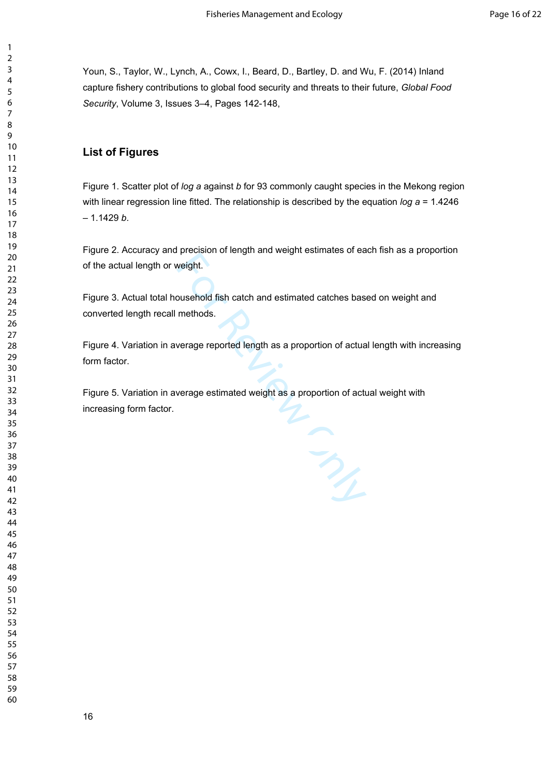Youn, S., Taylor, W., Lynch, A., Cowx, I., Beard, D., Bartley, D. and Wu, F. (2014) Inland capture fishery contributions to global food security and threats to their future, *Global Food Security*, Volume 3, Issues 3–4, Pages 142-148,

### **List of Figures**

Figure 1. Scatter plot of *log a* against *b* for 93 commonly caught species in the Mekong region with linear regression line fitted. The relationship is described by the equation *log a* = 1.4246 – 1.1429 *b*.

Figure 2. Accuracy and precision of length and weight estimates of each fish as a proportion of the actual length or weight.

Figure 3. Actual total household fish catch and estimated catches based on weight and converted length recall methods.

Figure 4. Variation in average reported length as a proportion of actual length with increasing form factor.

For Review Only

Figure 5. Variation in average estimated weight as a proportion of actual weight with increasing form factor.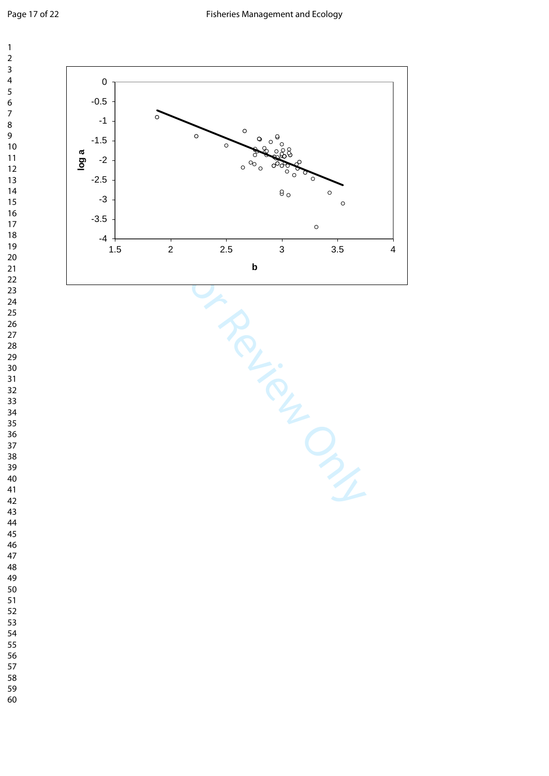$\mathbf{1}$  $\overline{2}$  $\overline{3}$  $\overline{4}$  $\overline{7}$ 

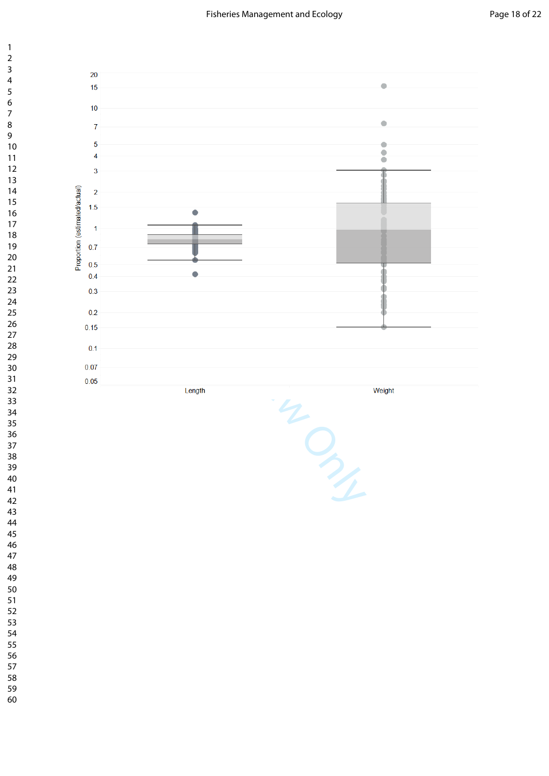$\overline{7}$ 

 $\overline{4}$ 

 $\mathbf{1}$  $\overline{2}$  $\overline{3}$ 

 $\overline{9}$ 

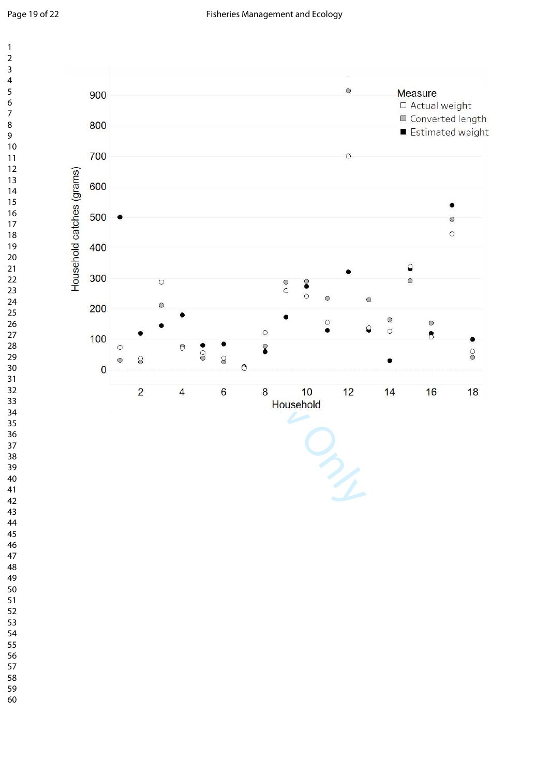$\overline{6}$ 

 $\overline{7}$ 

 $\overline{9}$ 

 $\overline{\mathbf{r}}$ 

 $\mathbf{1}$  $\overline{2}$  $\overline{3}$ 

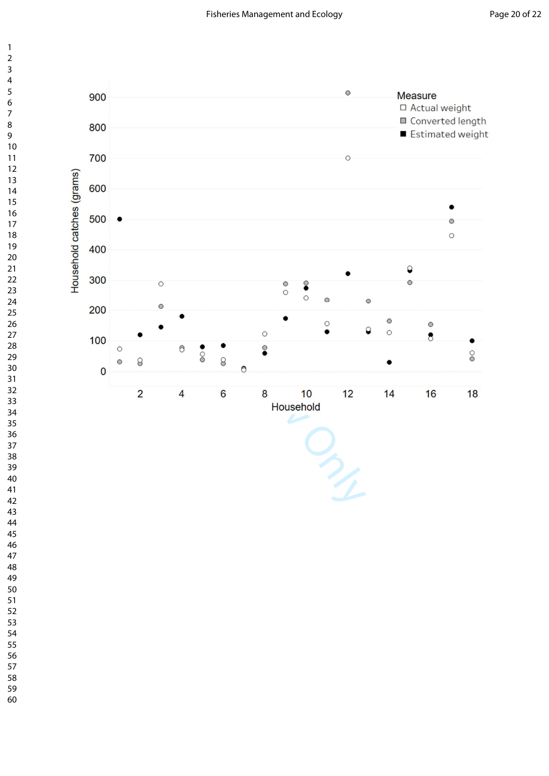

 $\mathbf{1}$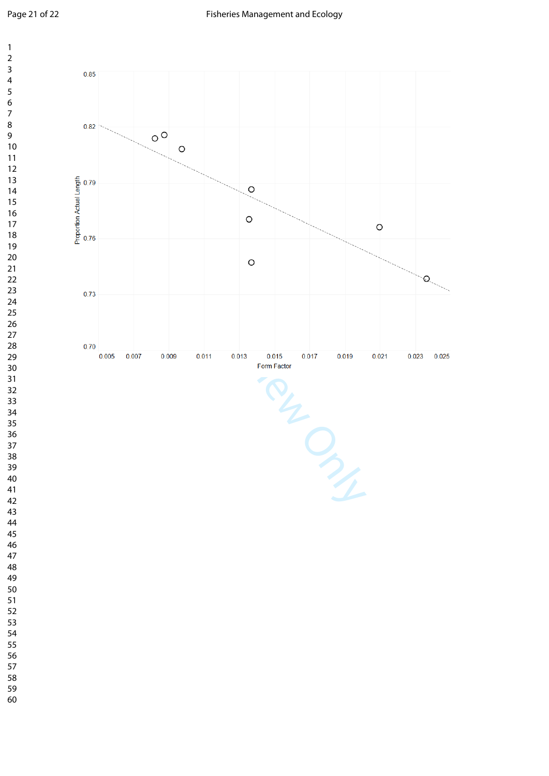